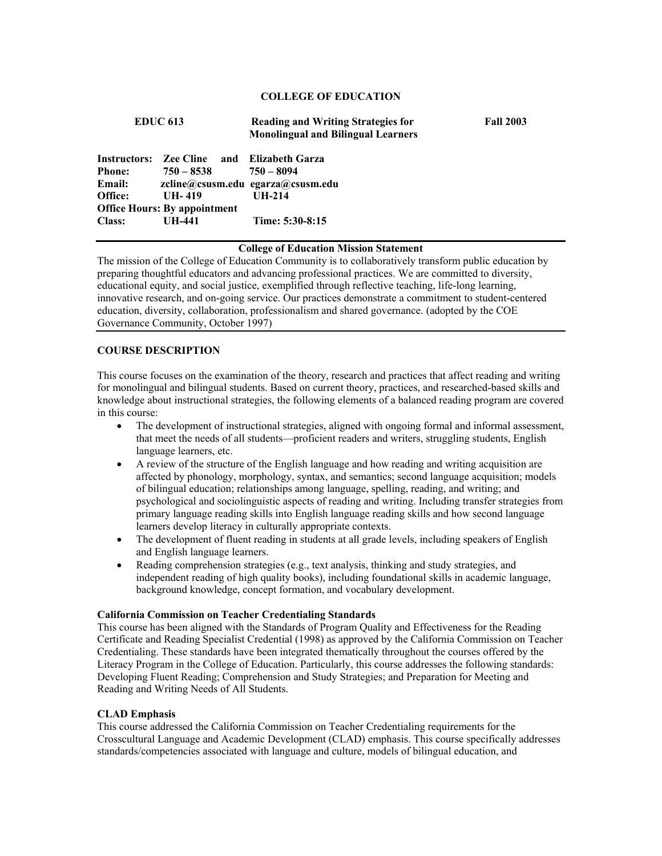# **COLLEGE OF EDUCATION**

| <b>EDUC 613</b> |                                                            | <b>Reading and Writing Strategies for</b><br><b>Monolingual and Bilingual Learners</b> | <b>Fall 2003</b> |
|-----------------|------------------------------------------------------------|----------------------------------------------------------------------------------------|------------------|
| Phone:          | Instructors: Zee Cline and Elizabeth Garza<br>$750 - 8538$ | 750 – 8094                                                                             |                  |
| Email:          |                                                            | zcline@csusm.edu egarza@csusm.edu                                                      |                  |
| Office:         | UH- $419$<br><b>Office Hours: By appointment</b>           | UH-214                                                                                 |                  |
| <b>Class:</b>   | UH-441                                                     | Time: 5:30-8:15                                                                        |                  |

# **College of Education Mission Statement**

The mission of the College of Education Community is to collaboratively transform public education by preparing thoughtful educators and advancing professional practices. We are committed to diversity, educational equity, and social justice, exemplified through reflective teaching, life-long learning, innovative research, and on-going service. Our practices demonstrate a commitment to student-centered education, diversity, collaboration, professionalism and shared governance. (adopted by the COE Governance Community, October 1997)

# **COURSE DESCRIPTION**

This course focuses on the examination of the theory, research and practices that affect reading and writing for monolingual and bilingual students. Based on current theory, practices, and researched-based skills and knowledge about instructional strategies, the following elements of a balanced reading program are covered in this course:

- The development of instructional strategies, aligned with ongoing formal and informal assessment, that meet the needs of all students—proficient readers and writers, struggling students, English language learners, etc.
- A review of the structure of the English language and how reading and writing acquisition are affected by phonology, morphology, syntax, and semantics; second language acquisition; models of bilingual education; relationships among language, spelling, reading, and writing; and psychological and sociolinguistic aspects of reading and writing. Including transfer strategies from primary language reading skills into English language reading skills and how second language learners develop literacy in culturally appropriate contexts.
- The development of fluent reading in students at all grade levels, including speakers of English and English language learners.
- Reading comprehension strategies (e.g., text analysis, thinking and study strategies, and independent reading of high quality books), including foundational skills in academic language, background knowledge, concept formation, and vocabulary development.

### **California Commission on Teacher Credentialing Standards**

This course has been aligned with the Standards of Program Quality and Effectiveness for the Reading Certificate and Reading Specialist Credential (1998) as approved by the California Commission on Teacher Credentialing. These standards have been integrated thematically throughout the courses offered by the Literacy Program in the College of Education. Particularly, this course addresses the following standards: Developing Fluent Reading; Comprehension and Study Strategies; and Preparation for Meeting and Reading and Writing Needs of All Students.

# **CLAD Emphasis**

This course addressed the California Commission on Teacher Credentialing requirements for the Crosscultural Language and Academic Development (CLAD) emphasis. This course specifically addresses standards/competencies associated with language and culture, models of bilingual education, and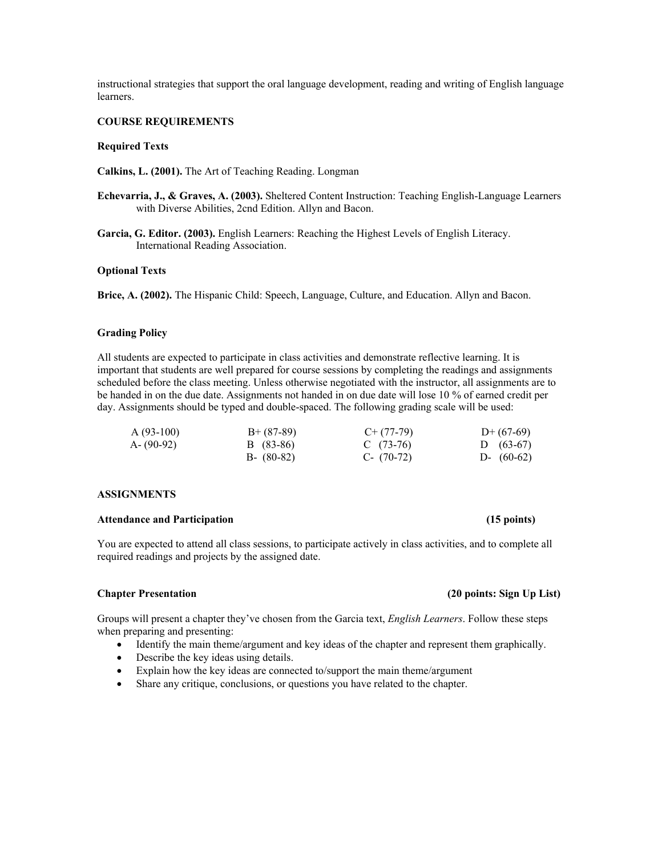instructional strategies that support the oral language development, reading and writing of English language learners.

# **COURSE REQUIREMENTS**

# **Required Texts**

**Calkins, L. (2001).** The Art of Teaching Reading. Longman

- **Echevarria, J., & Graves, A. (2003).** Sheltered Content Instruction: Teaching English-Language Learners with Diverse Abilities, 2cnd Edition. Allyn and Bacon.
- **Garcia, G. Editor. (2003).** English Learners: Reaching the Highest Levels of English Literacy. International Reading Association.

# **Optional Texts**

**Brice, A. (2002).** The Hispanic Child: Speech, Language, Culture, and Education. Allyn and Bacon.

# **Grading Policy**

All students are expected to participate in class activities and demonstrate reflective learning. It is important that students are well prepared for course sessions by completing the readings and assignments scheduled before the class meeting. Unless otherwise negotiated with the instructor, all assignments are to be handed in on the due date. Assignments not handed in on due date will lose 10 % of earned credit per day. Assignments should be typed and double-spaced. The following grading scale will be used:

| $A(93-100)$   | $B+ (87-89)$  | $C+ (77-79)$ | $D+(67-69)$  |
|---------------|---------------|--------------|--------------|
| $A - (90-92)$ | B (83-86)     | C $(73-76)$  | D $(63-67)$  |
|               | $B - (80-82)$ | $C- (70-72)$ | D- $(60-62)$ |

# **ASSIGNMENTS**

# **Attendance and Participation (15 points)**

You are expected to attend all class sessions, to participate actively in class activities, and to complete all required readings and projects by the assigned date.

Groups will present a chapter they've chosen from the Garcia text, *English Learners*. Follow these steps when preparing and presenting:

- Identify the main theme/argument and key ideas of the chapter and represent them graphically.
- Describe the key ideas using details.
- Explain how the key ideas are connected to/support the main theme/argument
- Share any critique, conclusions, or questions you have related to the chapter.

# **Chapter Presentation (20 points: Sign Up List)**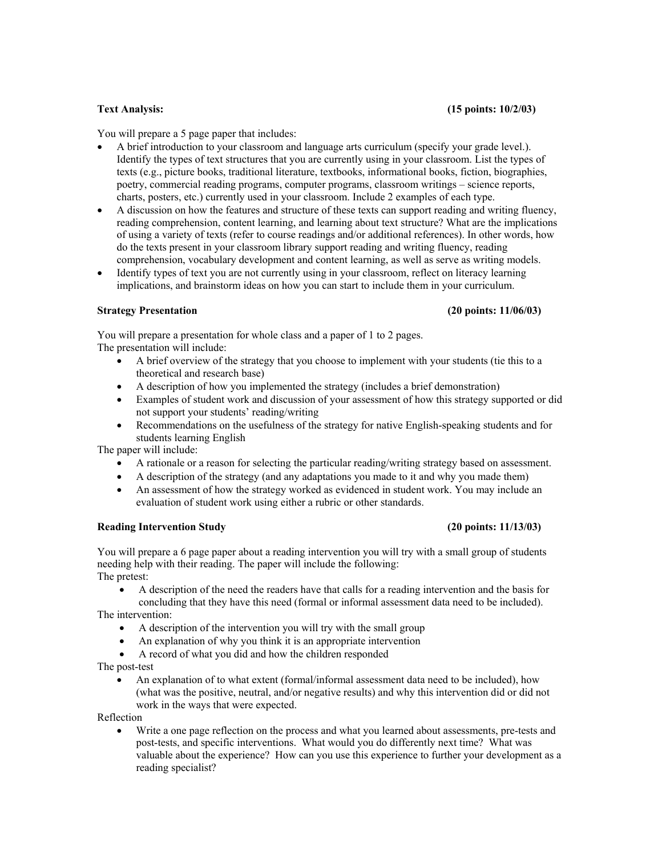You will prepare a 5 page paper that includes:

- A brief introduction to your classroom and language arts curriculum (specify your grade level.). Identify the types of text structures that you are currently using in your classroom. List the types of texts (e.g., picture books, traditional literature, textbooks, informational books, fiction, biographies, poetry, commercial reading programs, computer programs, classroom writings – science reports, charts, posters, etc.) currently used in your classroom. Include 2 examples of each type.
- A discussion on how the features and structure of these texts can support reading and writing fluency, reading comprehension, content learning, and learning about text structure? What are the implications of using a variety of texts (refer to course readings and/or additional references). In other words, how do the texts present in your classroom library support reading and writing fluency, reading comprehension, vocabulary development and content learning, as well as serve as writing models.
- Identify types of text you are not currently using in your classroom, reflect on literacy learning implications, and brainstorm ideas on how you can start to include them in your curriculum.

# **Strategy Presentation (20 points: 11/06/03)**

You will prepare a presentation for whole class and a paper of 1 to 2 pages. The presentation will include:

- A brief overview of the strategy that you choose to implement with your students (tie this to a theoretical and research base)
- A description of how you implemented the strategy (includes a brief demonstration)
- Examples of student work and discussion of your assessment of how this strategy supported or did not support your students' reading/writing
- Recommendations on the usefulness of the strategy for native English-speaking students and for students learning English

The paper will include:

- A rationale or a reason for selecting the particular reading/writing strategy based on assessment.
- A description of the strategy (and any adaptations you made to it and why you made them)
- An assessment of how the strategy worked as evidenced in student work. You may include an evaluation of student work using either a rubric or other standards.

# **Reading Intervention Study (20 points: 11/13/03)**

You will prepare a 6 page paper about a reading intervention you will try with a small group of students needing help with their reading. The paper will include the following: The pretest:

• A description of the need the readers have that calls for a reading intervention and the basis for concluding that they have this need (formal or informal assessment data need to be included).

The intervention:

- A description of the intervention you will try with the small group
- An explanation of why you think it is an appropriate intervention
- A record of what you did and how the children responded

The post-test

• An explanation of to what extent (formal/informal assessment data need to be included), how (what was the positive, neutral, and/or negative results) and why this intervention did or did not work in the ways that were expected.

Reflection

• Write a one page reflection on the process and what you learned about assessments, pre-tests and post-tests, and specific interventions. What would you do differently next time? What was valuable about the experience? How can you use this experience to further your development as a reading specialist?

# **Text Analysis: (15 points: 10/2/03)**